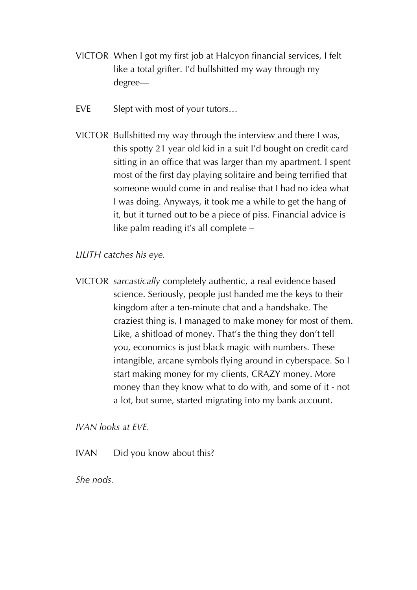- VICTOR When I got my first job at Halcyon financial services, I felt like a total grifter. I'd bullshitted my way through my degree—
- EVE Slept with most of your tutors...
- VICTOR Bullshitted my way through the interview and there I was, this spotty 21 year old kid in a suit I'd bought on credit card sitting in an office that was larger than my apartment. I spent most of the first day playing solitaire and being terrified that someone would come in and realise that I had no idea what I was doing. Anyways, it took me a while to get the hang of it, but it turned out to be a piece of piss. Financial advice is like palm reading it's all complete –

## *LILITH catches his eye.*

VICTOR *sarcastically* completely authentic, a real evidence based science. Seriously, people just handed me the keys to their kingdom after a ten-minute chat and a handshake. The craziest thing is, I managed to make money for most of them. Like, a shitload of money. That's the thing they don't tell you, economics is just black magic with numbers. These intangible, arcane symbols flying around in cyberspace. So I start making money for my clients, CRAZY money. More money than they know what to do with, and some of it - not a lot, but some, started migrating into my bank account.

*IVAN looks at EVE.*

IVAN Did you know about this?

*She nods.*